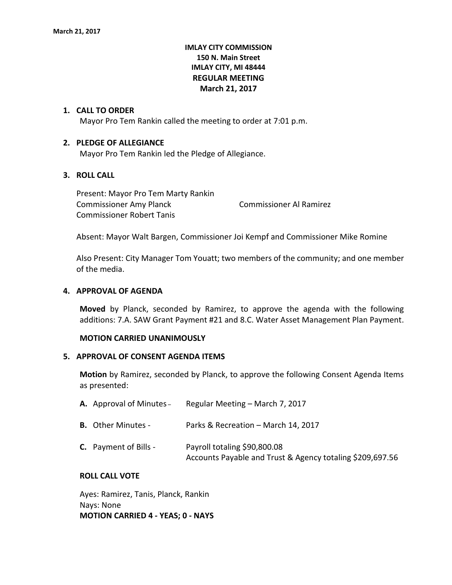# **IMLAY CITY COMMISSION 150 N. Main Street IMLAY CITY, MI 48444 REGULAR MEETING March 21, 2017**

#### **1. CALL TO ORDER**

Mayor Pro Tem Rankin called the meeting to order at 7:01 p.m.

#### **2. PLEDGE OF ALLEGIANCE**

Mayor Pro Tem Rankin led the Pledge of Allegiance.

# **3. ROLL CALL**

Present: Mayor Pro Tem Marty Rankin Commissioner Amy Planck Commissioner Al Ramirez Commissioner Robert Tanis

Absent: Mayor Walt Bargen, Commissioner Joi Kempf and Commissioner Mike Romine

Also Present: City Manager Tom Youatt; two members of the community; and one member of the media.

#### **4. APPROVAL OF AGENDA**

**Moved** by Planck, seconded by Ramirez, to approve the agenda with the following additions: 7.A. SAW Grant Payment #21 and 8.C. Water Asset Management Plan Payment.

#### **MOTION CARRIED UNANIMOUSLY**

#### **5. APPROVAL OF CONSENT AGENDA ITEMS**

**Motion** by Ramirez, seconded by Planck, to approve the following Consent Agenda Items as presented:

| <b>A.</b> Approval of Minutes – | Regular Meeting – March 7, 2017                                                           |
|---------------------------------|-------------------------------------------------------------------------------------------|
| <b>B.</b> Other Minutes -       | Parks & Recreation - March 14, 2017                                                       |
| <b>C.</b> Payment of Bills -    | Payroll totaling \$90,800.08<br>Accounts Payable and Trust & Agency totaling \$209,697.56 |

#### **ROLL CALL VOTE**

Ayes: Ramirez, Tanis, Planck, Rankin Nays: None **MOTION CARRIED 4 - YEAS; 0 - NAYS**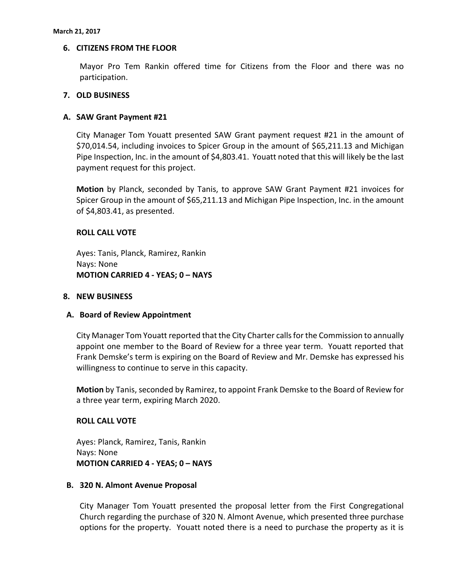### **6. CITIZENS FROM THE FLOOR**

Mayor Pro Tem Rankin offered time for Citizens from the Floor and there was no participation.

### **7. OLD BUSINESS**

### **A. SAW Grant Payment #21**

City Manager Tom Youatt presented SAW Grant payment request #21 in the amount of \$70,014.54, including invoices to Spicer Group in the amount of \$65,211.13 and Michigan Pipe Inspection, Inc. in the amount of \$4,803.41. Youatt noted that this will likely be the last payment request for this project.

**Motion** by Planck, seconded by Tanis, to approve SAW Grant Payment #21 invoices for Spicer Group in the amount of \$65,211.13 and Michigan Pipe Inspection, Inc. in the amount of \$4,803.41, as presented.

### **ROLL CALL VOTE**

Ayes: Tanis, Planck, Ramirez, Rankin Nays: None **MOTION CARRIED 4 - YEAS; 0 – NAYS**

#### **8. NEW BUSINESS**

## **A. Board of Review Appointment**

City Manager Tom Youatt reported that the City Charter calls for the Commission to annually appoint one member to the Board of Review for a three year term. Youatt reported that Frank Demske's term is expiring on the Board of Review and Mr. Demske has expressed his willingness to continue to serve in this capacity.

**Motion** by Tanis, seconded by Ramirez, to appoint Frank Demske to the Board of Review for a three year term, expiring March 2020.

## **ROLL CALL VOTE**

Ayes: Planck, Ramirez, Tanis, Rankin Nays: None **MOTION CARRIED 4 - YEAS; 0 – NAYS**

#### **B. 320 N. Almont Avenue Proposal**

City Manager Tom Youatt presented the proposal letter from the First Congregational Church regarding the purchase of 320 N. Almont Avenue, which presented three purchase options for the property. Youatt noted there is a need to purchase the property as it is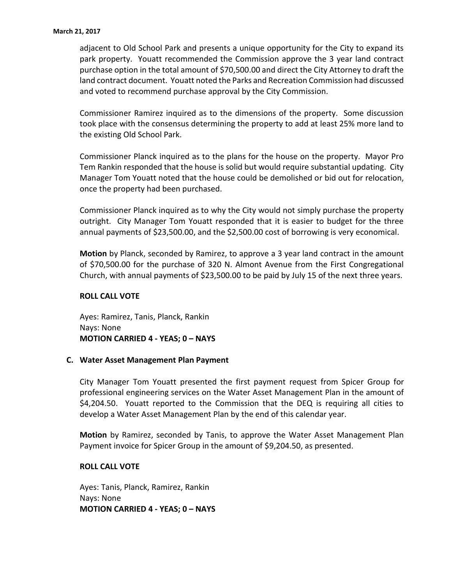adjacent to Old School Park and presents a unique opportunity for the City to expand its park property. Youatt recommended the Commission approve the 3 year land contract purchase option in the total amount of \$70,500.00 and direct the City Attorney to draft the land contract document. Youatt noted the Parks and Recreation Commission had discussed and voted to recommend purchase approval by the City Commission.

Commissioner Ramirez inquired as to the dimensions of the property. Some discussion took place with the consensus determining the property to add at least 25% more land to the existing Old School Park.

Commissioner Planck inquired as to the plans for the house on the property. Mayor Pro Tem Rankin responded that the house is solid but would require substantial updating. City Manager Tom Youatt noted that the house could be demolished or bid out for relocation, once the property had been purchased.

Commissioner Planck inquired as to why the City would not simply purchase the property outright. City Manager Tom Youatt responded that it is easier to budget for the three annual payments of \$23,500.00, and the \$2,500.00 cost of borrowing is very economical.

**Motion** by Planck, seconded by Ramirez, to approve a 3 year land contract in the amount of \$70,500.00 for the purchase of 320 N. Almont Avenue from the First Congregational Church, with annual payments of \$23,500.00 to be paid by July 15 of the next three years.

## **ROLL CALL VOTE**

Ayes: Ramirez, Tanis, Planck, Rankin Nays: None **MOTION CARRIED 4 - YEAS; 0 – NAYS**

## **C. Water Asset Management Plan Payment**

City Manager Tom Youatt presented the first payment request from Spicer Group for professional engineering services on the Water Asset Management Plan in the amount of \$4,204.50. Youatt reported to the Commission that the DEQ is requiring all cities to develop a Water Asset Management Plan by the end of this calendar year.

**Motion** by Ramirez, seconded by Tanis, to approve the Water Asset Management Plan Payment invoice for Spicer Group in the amount of \$9,204.50, as presented.

#### **ROLL CALL VOTE**

Ayes: Tanis, Planck, Ramirez, Rankin Nays: None **MOTION CARRIED 4 - YEAS; 0 – NAYS**